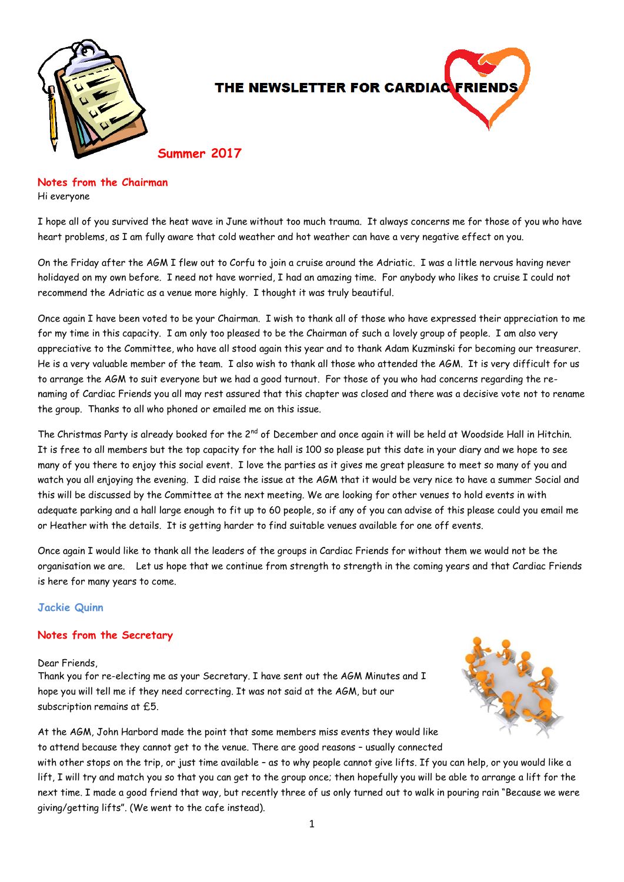



**Summer 2017**

#### **Notes from the Chairman** Hi everyone

I hope all of you survived the heat wave in June without too much trauma. It always concerns me for those of you who have heart problems, as I am fully aware that cold weather and hot weather can have a very negative effect on you.

On the Friday after the AGM I flew out to Corfu to join a cruise around the Adriatic. I was a little nervous having never holidayed on my own before. I need not have worried, I had an amazing time. For anybody who likes to cruise I could not recommend the Adriatic as a venue more highly. I thought it was truly beautiful.

Once again I have been voted to be your Chairman. I wish to thank all of those who have expressed their appreciation to me for my time in this capacity. I am only too pleased to be the Chairman of such a lovely group of people. I am also very appreciative to the Committee, who have all stood again this year and to thank Adam Kuzminski for becoming our treasurer. He is a very valuable member of the team. I also wish to thank all those who attended the AGM. It is very difficult for us to arrange the AGM to suit everyone but we had a good turnout. For those of you who had concerns regarding the renaming of Cardiac Friends you all may rest assured that this chapter was closed and there was a decisive vote not to rename the group. Thanks to all who phoned or emailed me on this issue.

The Christmas Party is already booked for the 2<sup>nd</sup> of December and once again it will be held at Woodside Hall in Hitchin. It is free to all members but the top capacity for the hall is 100 so please put this date in your diary and we hope to see many of you there to enjoy this social event. I love the parties as it gives me great pleasure to meet so many of you and watch you all enjoying the evening. I did raise the issue at the AGM that it would be very nice to have a summer Social and this will be discussed by the Committee at the next meeting. We are looking for other venues to hold events in with adequate parking and a hall large enough to fit up to 60 people, so if any of you can advise of this please could you email me or Heather with the details. It is getting harder to find suitable venues available for one off events.

Once again I would like to thank all the leaders of the groups in Cardiac Friends for without them we would not be the organisation we are. Let us hope that we continue from strength to strength in the coming years and that Cardiac Friends is here for many years to come.

# **Jackie Quinn**

# **Notes from the Secretary**

Dear Friends,

Thank you for re-electing me as your Secretary. I have sent out the AGM Minutes and I hope you will tell me if they need correcting. It was not said at the AGM, but our subscription remains at £5.



At the AGM, John Harbord made the point that some members miss events they would like to attend because they cannot get to the venue. There are good reasons – usually connected

with other stops on the trip, or just time available – as to why people cannot give lifts. If you can help, or you would like a lift, I will try and match you so that you can get to the group once; then hopefully you will be able to arrange a lift for the next time. I made a good friend that way, but recently three of us only turned out to walk in pouring rain "Because we were giving/getting lifts". (We went to the cafe instead).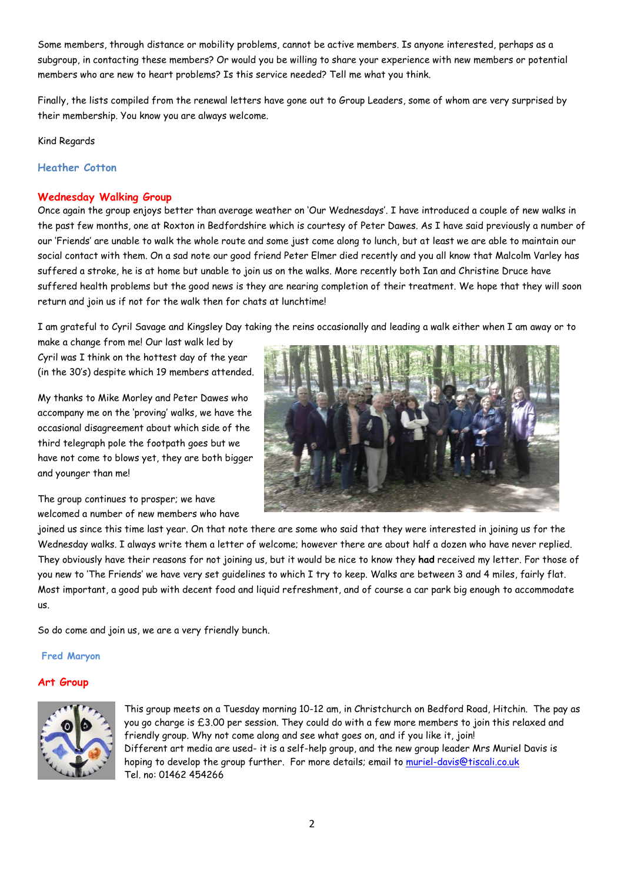Some members, through distance or mobility problems, cannot be active members. Is anyone interested, perhaps as a subgroup, in contacting these members? Or would you be willing to share your experience with new members or potential members who are new to heart problems? Is this service needed? Tell me what you think.

Finally, the lists compiled from the renewal letters have gone out to Group Leaders, some of whom are very surprised by their membership. You know you are always welcome.

Kind Regards

#### **Heather Cotton**

### **Wednesday Walking Group**

Once again the group enjoys better than average weather on 'Our Wednesdays'. I have introduced a couple of new walks in the past few months, one at Roxton in Bedfordshire which is courtesy of Peter Dawes. As I have said previously a number of our 'Friends' are unable to walk the whole route and some just come along to lunch, but at least we are able to maintain our social contact with them. On a sad note our good friend Peter Elmer died recently and you all know that Malcolm Varley has suffered a stroke, he is at home but unable to join us on the walks. More recently both Ian and Christine Druce have suffered health problems but the good news is they are nearing completion of their treatment. We hope that they will soon return and join us if not for the walk then for chats at lunchtime!

I am grateful to Cyril Savage and Kingsley Day taking the reins occasionally and leading a walk either when I am away or to

make a change from me! Our last walk led by Cyril was I think on the hottest day of the year (in the 30's) despite which 19 members attended.

My thanks to Mike Morley and Peter Dawes who accompany me on the 'proving' walks, we have the occasional disagreement about which side of the third telegraph pole the footpath goes but we have not come to blows yet, they are both bigger and younger than me!



The group continues to prosper; we have welcomed a number of new members who have

joined us since this time last year. On that note there are some who said that they were interested in joining us for the Wednesday walks. I always write them a letter of welcome; however there are about half a dozen who have never replied. They obviously have their reasons for not joining us, but it would be nice to know they **had** received my letter. For those of you new to 'The Friends' we have very set guidelines to which I try to keep. Walks are between 3 and 4 miles, fairly flat. Most important, a good pub with decent food and liquid refreshment, and of course a car park big enough to accommodate us.

So do come and join us, we are a very friendly bunch.

#### **Fred Maryon**

#### **Art Group**



This group meets on a Tuesday morning 10-12 am, in Christchurch on Bedford Road, Hitchin. The pay as you go charge is £3.00 per session. They could do with a few more members to join this relaxed and friendly group. Why not come along and see what goes on, and if you like it, join! Different art media are used- it is a self-help group, and the new group leader Mrs Muriel Davis is hoping to develop the group further. For more details; email to [muriel-davis@tiscali.co.uk](mailto:muriel-davis@tiscali.co.uk) Tel. no: 01462 454266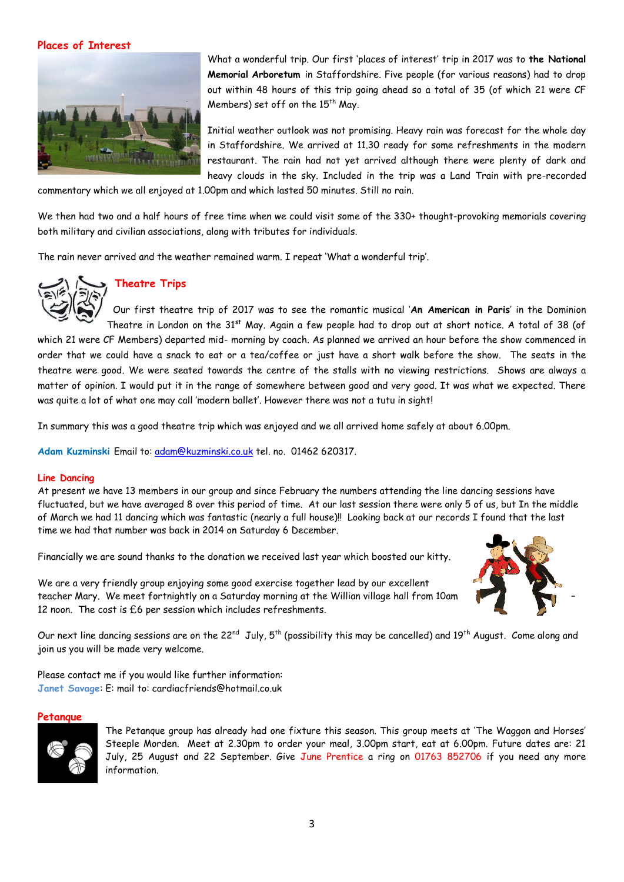# **Places of Interest**



What a wonderful trip. Our first 'places of interest' trip in 2017 was to **the National Memorial Arboretum** in Staffordshire. Five people (for various reasons) had to drop out within 48 hours of this trip going ahead so a total of 35 (of which 21 were CF Members) set off on the  $15^{th}$  May.

Initial weather outlook was not promising. Heavy rain was forecast for the whole day in Staffordshire. We arrived at 11.30 ready for some refreshments in the modern restaurant. The rain had not yet arrived although there were plenty of dark and heavy clouds in the sky. Included in the trip was a Land Train with pre-recorded

commentary which we all enjoyed at 1.00pm and which lasted 50 minutes. Still no rain.

We then had two and a half hours of free time when we could visit some of the 330+ thought-provoking memorials covering both military and civilian associations, along with tributes for individuals.

The rain never arrived and the weather remained warm. I repeat 'What a wonderful trip'.

# **Theatre Trips**

Our first theatre trip of 2017 was to see the romantic musical '**An American in Paris**' in the Dominion Theatre in London on the 31<sup>st</sup> May. Again a few people had to drop out at short notice. A total of 38 (of which 21 were CF Members) departed mid- morning by coach. As planned we arrived an hour before the show commenced in order that we could have a snack to eat or a tea/coffee or just have a short walk before the show. The seats in the theatre were good. We were seated towards the centre of the stalls with no viewing restrictions. Shows are always a matter of opinion. I would put it in the range of somewhere between good and very good. It was what we expected. There was quite a lot of what one may call 'modern ballet'. However there was not a tutu in sight!

In summary this was a good theatre trip which was enjoyed and we all arrived home safely at about 6.00pm.

**Adam Kuzminski** Email to: [adam@kuzminski.co.uk](mailto:adam@kuzminski.co.uk) tel. no. 01462 620317.

#### **Line Dancing**

At present we have 13 members in our group and since February the numbers attending the line dancing sessions have fluctuated, but we have averaged 8 over this period of time. At our last session there were only 5 of us, but In the middle of March we had 11 dancing which was fantastic (nearly a full house)!! Looking back at our records I found that the last time we had that number was back in 2014 on Saturday 6 December.

Financially we are sound thanks to the donation we received last year which boosted our kitty.

We are a very friendly group enjoying some good exercise together lead by our excellent teacher Mary. We meet fortnightly on a Saturday morning at the Willian village hall from 10am – 12 noon. The cost is £6 per session which includes refreshments.



Our next line dancing sessions are on the 22<sup>nd</sup> July, 5<sup>th</sup> (possibility this may be cancelled) and 19<sup>th</sup> August. Come along and join us you will be made very welcome.

Please contact me if you would like further information: **Janet Savage**: E: mail to: cardiacfriends@hotmail.co.uk

#### **Petanque**



The Petanque group has already had one fixture this season. This group meets at 'The Waggon and Horses' Steeple Morden. Meet at 2.30pm to order your meal, 3.00pm start, eat at 6.00pm. Future dates are: 21 July, 25 August and 22 September. Give June Prentice a ring on 01763 852706 if you need any more information.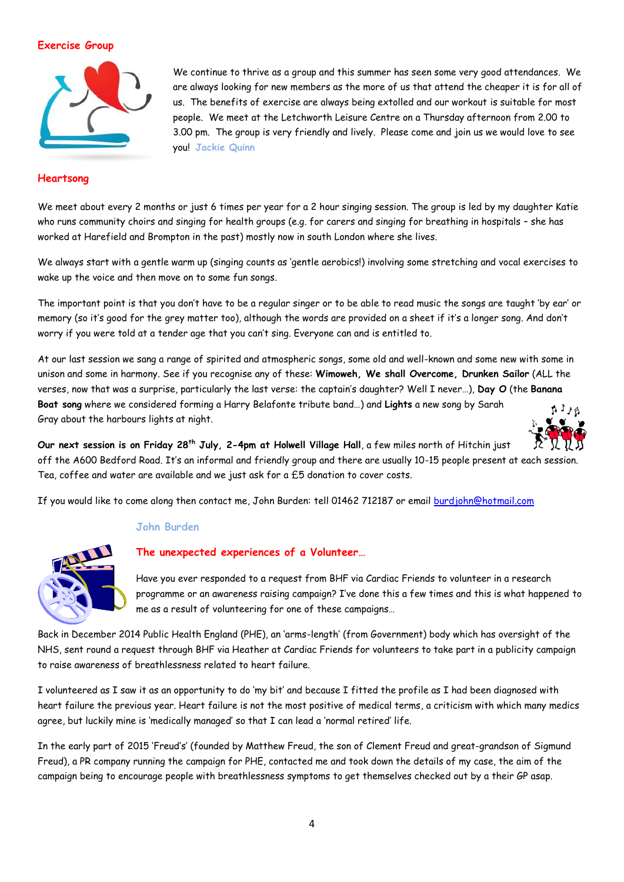#### **Exercise Group**



We continue to thrive as a group and this summer has seen some very good attendances. We are always looking for new members as the more of us that attend the cheaper it is for all of us. The benefits of exercise are always being extolled and our workout is suitable for most people. We meet at the Letchworth Leisure Centre on a Thursday afternoon from 2.00 to 3.00 pm. The group is very friendly and lively. Please come and join us we would love to see you! **Jackie Quinn**

#### **Heartsong**

We meet about every 2 months or just 6 times per year for a 2 hour singing session. The group is led by my daughter Katie who runs community choirs and singing for health groups (e.g. for carers and singing for breathing in hospitals - she has worked at Harefield and Brompton in the past) mostly now in south London where she lives.

We always start with a gentle warm up (singing counts as 'gentle aerobics!) involving some stretching and vocal exercises to wake up the voice and then move on to some fun songs.

The important point is that you don't have to be a regular singer or to be able to read music the songs are taught 'by ear' or memory (so it's good for the grey matter too), although the words are provided on a sheet if it's a longer song. And don't worry if you were told at a tender age that you can't sing. Everyone can and is entitled to.

At our last session we sang a range of spirited and atmospheric songs, some old and well-known and some new with some in unison and some in harmony. See if you recognise any of these: **Wimoweh, We shall Overcome, Drunken Sailor** (ALL the verses, now that was a surprise, particularly the last verse: the captain's daughter? Well I never…), **Day O** (the **Banana Boat song** where we considered forming a Harry Belafonte tribute band…) and **Lights** a new song by Sarah Gray about the harbours lights at night.



**Our next session is on Friday 28th July, 2-4pm at Holwell Village Hall**, a few miles north of Hitchin just off the A600 Bedford Road. It's an informal and friendly group and there are usually 10-15 people present at each session. Tea, coffee and water are available and we just ask for a £5 donation to cover costs.

If you would like to come along then contact me, John Burden: tell 01462 712187 or email [burdjohn@hotmail.com](mailto:burdjohn@hotmail.com)

#### **John Burden**

#### **The unexpected experiences of a Volunteer…**

Have you ever responded to a request from BHF via Cardiac Friends to volunteer in a research programme or an awareness raising campaign? I've done this a few times and this is what happened to me as a result of volunteering for one of these campaigns…

Back in December 2014 Public Health England (PHE), an 'arms-length' (from Government) body which has oversight of the NHS, sent round a request through BHF via Heather at Cardiac Friends for volunteers to take part in a publicity campaign to raise awareness of breathlessness related to heart failure.

I volunteered as I saw it as an opportunity to do 'my bit' and because I fitted the profile as I had been diagnosed with heart failure the previous year. Heart failure is not the most positive of medical terms, a criticism with which many medics agree, but luckily mine is 'medically managed' so that I can lead a 'normal retired' life.

In the early part of 2015 'Freud's' (founded by Matthew Freud, the son of Clement Freud and great-grandson of Sigmund Freud), a PR company running the campaign for PHE, contacted me and took down the details of my case, the aim of the campaign being to encourage people with breathlessness symptoms to get themselves checked out by a their GP asap.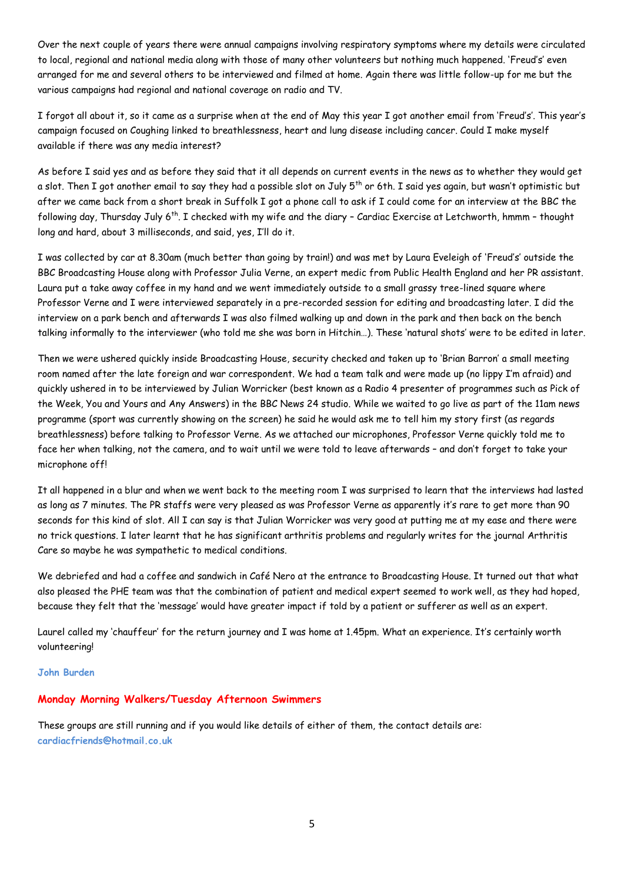Over the next couple of years there were annual campaigns involving respiratory symptoms where my details were circulated to local, regional and national media along with those of many other volunteers but nothing much happened. 'Freud's' even arranged for me and several others to be interviewed and filmed at home. Again there was little follow-up for me but the various campaigns had regional and national coverage on radio and TV.

I forgot all about it, so it came as a surprise when at the end of May this year I got another email from 'Freud's'. This year's campaign focused on Coughing linked to breathlessness, heart and lung disease including cancer. Could I make myself available if there was any media interest?

As before I said yes and as before they said that it all depends on current events in the news as to whether they would get a slot. Then I got another email to say they had a possible slot on July 5<sup>th</sup> or 6th. I said yes again, but wasn't optimistic but after we came back from a short break in Suffolk I got a phone call to ask if I could come for an interview at the BBC the following day, Thursday July 6<sup>th</sup>. I checked with my wife and the diary - Cardiac Exercise at Letchworth, hmmm - thought long and hard, about 3 milliseconds, and said, yes, I'll do it.

I was collected by car at 8.30am (much better than going by train!) and was met by Laura Eveleigh of 'Freud's' outside the BBC Broadcasting House along with Professor Julia Verne, an expert medic from Public Health England and her PR assistant. Laura put a take away coffee in my hand and we went immediately outside to a small grassy tree-lined square where Professor Verne and I were interviewed separately in a pre-recorded session for editing and broadcasting later. I did the interview on a park bench and afterwards I was also filmed walking up and down in the park and then back on the bench talking informally to the interviewer (who told me she was born in Hitchin…). These 'natural shots' were to be edited in later.

Then we were ushered quickly inside Broadcasting House, security checked and taken up to 'Brian Barron' a small meeting room named after the late foreign and war correspondent. We had a team talk and were made up (no lippy I'm afraid) and quickly ushered in to be interviewed by Julian Worricker (best known as a Radio 4 presenter of programmes such as Pick of the Week, You and Yours and Any Answers) in the BBC News 24 studio. While we waited to go live as part of the 11am news programme (sport was currently showing on the screen) he said he would ask me to tell him my story first (as regards breathlessness) before talking to Professor Verne. As we attached our microphones, Professor Verne quickly told me to face her when talking, not the camera, and to wait until we were told to leave afterwards – and don't forget to take your microphone off!

It all happened in a blur and when we went back to the meeting room I was surprised to learn that the interviews had lasted as long as 7 minutes. The PR staffs were very pleased as was Professor Verne as apparently it's rare to get more than 90 seconds for this kind of slot. All I can say is that Julian Worricker was very good at putting me at my ease and there were no trick questions. I later learnt that he has significant arthritis problems and regularly writes for the journal Arthritis Care so maybe he was sympathetic to medical conditions.

We debriefed and had a coffee and sandwich in Café Nero at the entrance to Broadcasting House. It turned out that what also pleased the PHE team was that the combination of patient and medical expert seemed to work well, as they had hoped, because they felt that the 'message' would have greater impact if told by a patient or sufferer as well as an expert.

Laurel called my 'chauffeur' for the return journey and I was home at 1.45pm. What an experience. It's certainly worth volunteering!

#### **John Burden**

# **Monday Morning Walkers/Tuesday Afternoon Swimmers**

These groups are still running and if you would like details of either of them, the contact details are: **cardiacfriends@hotmail.co.uk**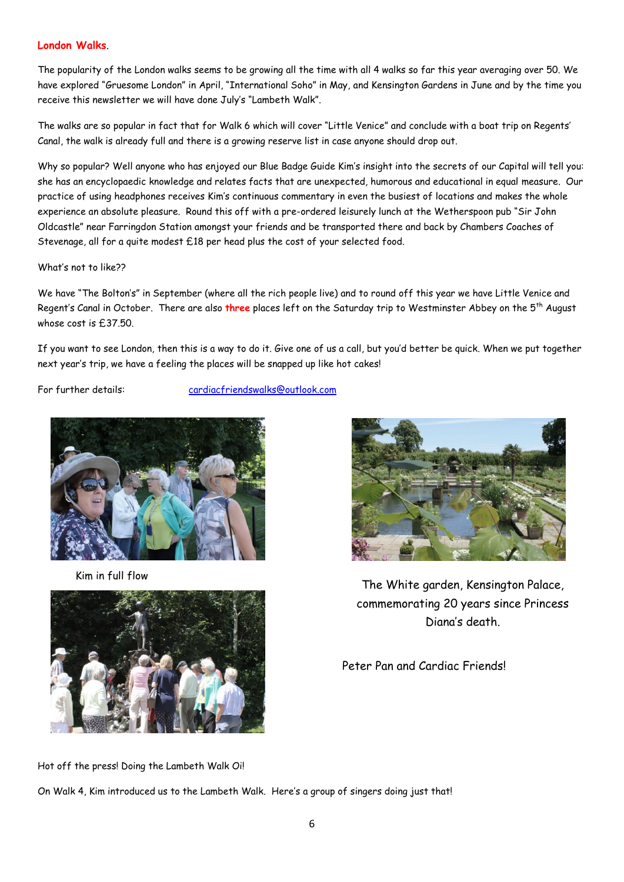# **London Walks**.

The popularity of the London walks seems to be growing all the time with all 4 walks so far this year averaging over 50. We have explored "Gruesome London" in April, "International Soho" in May, and Kensington Gardens in June and by the time you receive this newsletter we will have done July's "Lambeth Walk".

The walks are so popular in fact that for Walk 6 which will cover "Little Venice" and conclude with a boat trip on Regents' Canal, the walk is already full and there is a growing reserve list in case anyone should drop out.

Why so popular? Well anyone who has enjoyed our Blue Badge Guide Kim's insight into the secrets of our Capital will tell you: she has an encyclopaedic knowledge and relates facts that are unexpected, humorous and educational in equal measure. Our practice of using headphones receives Kim's continuous commentary in even the busiest of locations and makes the whole experience an absolute pleasure. Round this off with a pre-ordered leisurely lunch at the Wetherspoon pub "Sir John Oldcastle" near Farringdon Station amongst your friends and be transported there and back by Chambers Coaches of Stevenage, all for a quite modest £18 per head plus the cost of your selected food.

What's not to like??

We have "The Bolton's" in September (where all the rich people live) and to round off this year we have Little Venice and Regent's Canal in October. There are also **three** places left on the Saturday trip to Westminster Abbey on the 5th August whose cost is £37.50.

If you want to see London, then this is a way to do it. Give one of us a call, but you'd better be quick. When we put together next year's trip, we have a feeling the places will be snapped up like hot cakes!

For further details: [cardiacfriendswalks@outlook.com](mailto:cardiacfriendswalks@outlook.com)



Kim in full flow





The White garden, Kensington Palace, commemorating 20 years since Princess Diana's death.

Peter Pan and Cardiac Friends!

Hot off the press! Doing the Lambeth Walk Oi!

On Walk 4, Kim introduced us to the Lambeth Walk. Here's a group of singers doing just that!